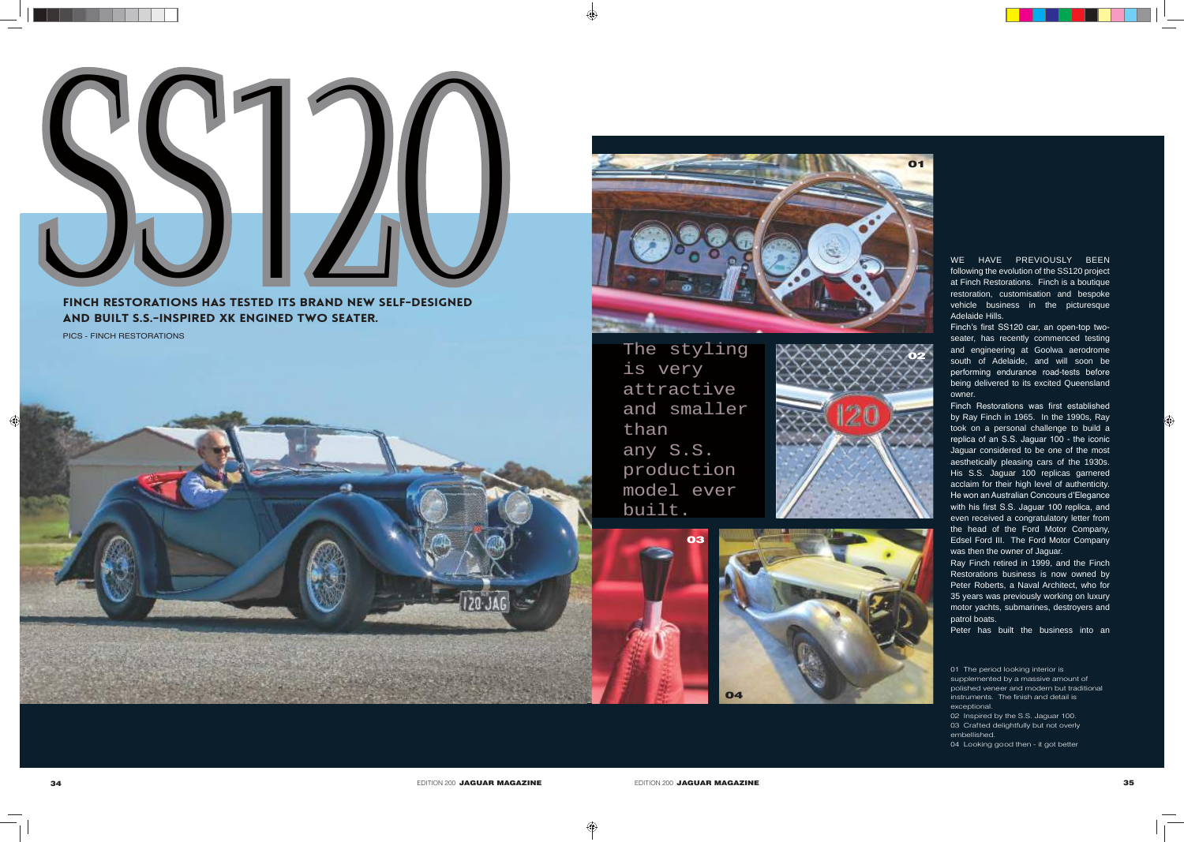02 Inspired by the S.S. Jaguar 100.

- 03 Crafted delightfully but not overly embellished.
- 04 Looking good then it got better

 $\bigoplus$ 

Finch Restorations has tested its brand new self-designed and built S.S.-inspired xk engined two seater.

> The styling is very attractive and smaller than any S.S. production model ever built.



WE HAVE PREVIOUSLY BEEN following the evolution of the SS120 project at Finch Restorations. Finch is a boutique restoration, customisation and bespoke vehicle business in the picturesque Adelaide Hills.

Finch's first SS120 car, an open-top twoseater, has recently commenced testing and engineering at Goolwa aerodrome south of Adelaide, and will soon be performing endurance road-tests before being delivered to its excited Queensland owner.

Finch Restorations was first established by Ray Finch in 1965. In the 1990s, Ray took on a personal challenge to build a replica of an S.S. Jaguar 100 - the iconic Jaguar considered to be one of the most aesthetically pleasing cars of the 1930s. His S.S. Jaguar 100 replicas garnered acclaim for their high level of authenticity. He won an Australian Concours d'Elegance with his first S.S. Jaguar 100 replica, and even received a congratulatory letter from the head of the Ford Motor Company, Edsel Ford III. The Ford Motor Company was then the owner of Jaguar.

Ray Finch retired in 1999, and the Finch Restorations business is now owned by Peter Roberts, a Naval Architect, who for 35 years was previously working on luxury motor yachts, submarines, destroyers and patrol boats.

Peter has built the business into an







EDITION 200 **JAGUAR MAGAZINE ADITION 200 JAGUAR MAGAZINE ADITION 200 JAGUAR MAGAZINE 35** 

◈

PICS - FINCH RESTORATIONS



◈

<sup>01</sup> The period looking interior is supplemented by a massive amount of

polished veneer and modern but traditional instruments. The finish and detail is exceptional.